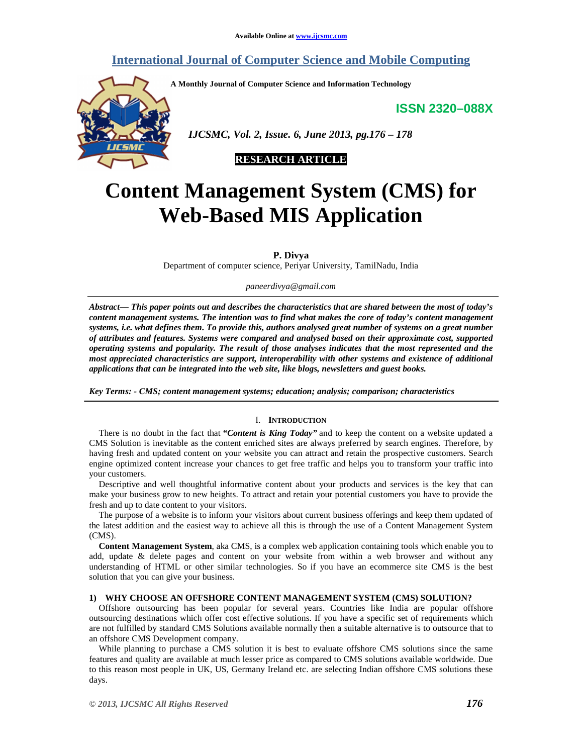# **International Journal of Computer Science and Mobile Computing**

**A Monthly Journal of Computer Science and Information Technology** 

**ISSN 2320–088X**



 *IJCSMC, Vol. 2, Issue. 6, June 2013, pg.176 – 178* 



# **Content Management System (CMS) for Web-Based MIS Application**

**P. Divya** 

Department of computer science, Periyar University, TamilNadu, India

*paneerdivya@gmail.com*

*Abstract— This paper points out and describes the characteristics that are shared between the most of today's content management systems. The intention was to find what makes the core of today's content management systems, i.e. what defines them. To provide this, authors analysed great number of systems on a great number of attributes and features. Systems were compared and analysed based on their approximate cost, supported operating systems and popularity. The result of those analyses indicates that the most represented and the most appreciated characteristics are support, interoperability with other systems and existence of additional applications that can be integrated into the web site, like blogs, newsletters and guest books.* 

*Key Terms: - CMS; content management systems; education; analysis; comparison; characteristics* 

# I. **INTRODUCTION**

There is no doubt in the fact that *"Content is King Today"* and to keep the content on a website updated a CMS Solution is inevitable as the content enriched sites are always preferred by search engines. Therefore, by having fresh and updated content on your website you can attract and retain the prospective customers. Search engine optimized content increase your chances to get free traffic and helps you to transform your traffic into your customers.

Descriptive and well thoughtful informative content about your products and services is the key that can make your business grow to new heights. To attract and retain your potential customers you have to provide the fresh and up to date content to your visitors.

The purpose of a website is to inform your visitors about current business offerings and keep them updated of the latest addition and the easiest way to achieve all this is through the use of a Content Management System (CMS).

**Content Management System**, aka CMS, is a complex web application containing tools which enable you to add, update & delete pages and content on your website from within a web browser and without any understanding of HTML or other similar technologies. So if you have an ecommerce site CMS is the best solution that you can give your business.

#### **1) WHY CHOOSE AN OFFSHORE CONTENT MANAGEMENT SYSTEM (CMS) SOLUTION?**

Offshore outsourcing has been popular for several years. Countries like India are popular offshore outsourcing destinations which offer cost effective solutions. If you have a specific set of requirements which are not fulfilled by standard CMS Solutions available normally then a suitable alternative is to outsource that to an offshore CMS Development company.

While planning to purchase a CMS solution it is best to evaluate offshore CMS solutions since the same features and quality are available at much lesser price as compared to CMS solutions available worldwide. Due to this reason most people in UK, US, Germany Ireland etc. are selecting Indian offshore CMS solutions these days.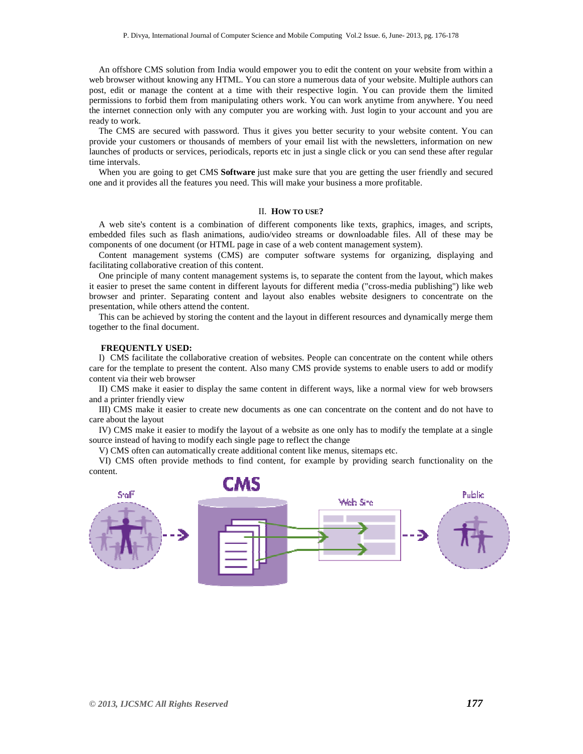An offshore CMS solution from India would empower you to edit the content on your website from within a web browser without knowing any HTML. You can store a numerous data of your website. Multiple authors can post, edit or manage the content at a time with their respective login. You can provide them the limited permissions to forbid them from manipulating others work. You can work anytime from anywhere. You need the internet connection only with any computer you are working with. Just login to your account and you are ready to work.

The CMS are secured with password. Thus it gives you better security to your website content. You can provide your customers or thousands of members of your email list with the newsletters, information on new launches of products or services, periodicals, reports etc in just a single click or you can send these after regular time intervals.

When you are going to get CMS **Software** just make sure that you are getting the user friendly and secured one and it provides all the features you need. This will make your business a more profitable.

#### II. **HOW TO USE?**

A web site's content is a combination of different components like texts, graphics, images, and scripts, embedded files such as flash animations, audio/video streams or downloadable files. All of these may be components of one document (or HTML page in case of a web content management system).

Content management systems (CMS) are computer software systems for organizing, displaying and facilitating collaborative creation of this content.

One principle of many content management systems is, to separate the content from the layout, which makes it easier to preset the same content in different layouts for different media ("cross-media publishing") like web browser and printer. Separating content and layout also enables website designers to concentrate on the presentation, while others attend the content.

This can be achieved by storing the content and the layout in different resources and dynamically merge them together to the final document.

### **FREQUENTLY USED:**

I) CMS facilitate the collaborative creation of websites. People can concentrate on the content while others care for the template to present the content. Also many CMS provide systems to enable users to add or modify content via their web browser

II) CMS make it easier to display the same content in different ways, like a normal view for web browsers and a printer friendly view

III) CMS make it easier to create new documents as one can concentrate on the content and do not have to care about the layout

IV) CMS make it easier to modify the layout of a website as one only has to modify the template at a single source instead of having to modify each single page to reflect the change

V) CMS often can automatically create additional content like menus, sitemaps etc.

VI) CMS often provide methods to find content, for example by providing search functionality on the content.